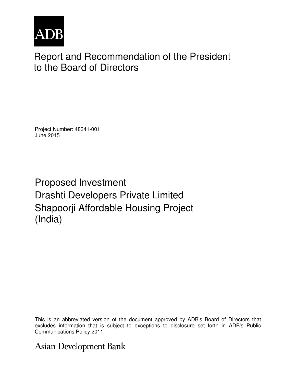

# Report and Recommendation of the President to the Board of Directors

Project Number: 48341-001 June 2015

Proposed Investment Drashti Developers Private Limited Shapoorji Affordable Housing Project (India)

This is an abbreviated version of the document approved by ADB's Board of Directors that excludes information that is subject to exceptions to disclosure set forth in ADB's Public Communications Policy 2011.

# **Asian Development Bank**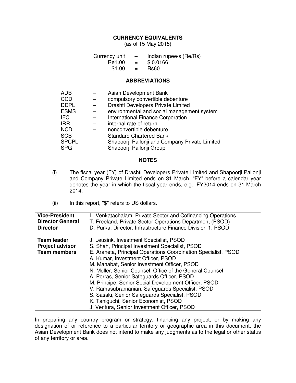#### **CURRENCY EQUIVALENTS**

(as of 15 May 2015)

| Currency unit |                           | Indian rupee/s (Re/Rs) |
|---------------|---------------------------|------------------------|
| Re1.00        | $=$                       | \$0.0166               |
| \$1.00        | $\mathbf{r} = \mathbf{r}$ | <b>Rs60</b>            |

#### **ABBREVIATIONS**

| <b>ADB</b><br><b>CCD</b><br><b>DDPL</b><br><b>ESMS</b><br><b>IFC</b> | Asian Development Bank<br>compulsory convertible debenture<br>Drashti Developers Private Limited<br>environmental and social management system<br>International Finance Corporation |
|----------------------------------------------------------------------|-------------------------------------------------------------------------------------------------------------------------------------------------------------------------------------|
| <b>IRR</b><br><b>NCD</b><br><b>SCB</b><br><b>SPCPL</b>               | internal rate of return<br>nonconvertible debenture<br><b>Standard Chartered Bank</b><br>Shapoorji Pallonji and Company Private Limited                                             |
| <b>SPG</b>                                                           | Shapoorji Pallonji Group                                                                                                                                                            |

#### **NOTES**

- (i) The fiscal year (FY) of Drashti Developers Private Limited and Shapoorji Pallonji and Company Private Limited ends on 31 March. "FY" before a calendar year denotes the year in which the fiscal year ends, e.g., FY2014 ends on 31 March 2014.
- (ii) In this report, "\$" refers to US dollars.

| <b>Vice-President</b><br><b>Director General</b><br><b>Director</b> | L. Venkatachalam, Private Sector and Cofinancing Operations<br>T. Freeland, Private Sector Operations Department (PSOD)<br>D. Purka, Director, Infrastructure Finance Division 1, PSOD                                                                                                                                                                                                                                                                                                                                                                                                                        |
|---------------------------------------------------------------------|---------------------------------------------------------------------------------------------------------------------------------------------------------------------------------------------------------------------------------------------------------------------------------------------------------------------------------------------------------------------------------------------------------------------------------------------------------------------------------------------------------------------------------------------------------------------------------------------------------------|
| <b>Team leader</b><br><b>Project advisor</b><br><b>Team members</b> | J. Leusink, Investment Specialist, PSOD<br>S. Shah, Principal Investment Specialist, PSOD<br>E. Araneta, Principal Operations Coordination Specialist, PSOD<br>A. Kumar, Investment Officer, PSOD<br>M. Manabat, Senior Investment Officer, PSOD<br>N. Moller, Senior Counsel, Office of the General Counsel<br>A. Porras, Senior Safeguards Officer, PSOD<br>M. Principe, Senior Social Development Officer, PSOD<br>V. Ramasubramanian, Safeguards Specialist, PSOD<br>S. Sasaki, Senior Safeguards Specialist, PSOD<br>K. Taniguchi, Senior Economist, PSOD<br>J. Ventura, Senior Investment Officer, PSOD |

In preparing any country program or strategy, financing any project, or by making any designation of or reference to a particular territory or geographic area in this document, the Asian Development Bank does not intend to make any judgments as to the legal or other status of any territory or area.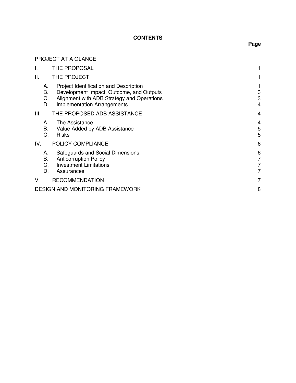## **CONTENTS**

## PROJECT AT A GLANCE

| THE PROPOSAL                                                                                                                                                           |                                                                                                           |
|------------------------------------------------------------------------------------------------------------------------------------------------------------------------|-----------------------------------------------------------------------------------------------------------|
| THE PROJECT                                                                                                                                                            |                                                                                                           |
| Project Identification and Description<br>Development Impact, Outcome, and Outputs<br>Alignment with ADB Strategy and Operations<br><b>Implementation Arrangements</b> | 3<br>3<br>4                                                                                               |
| THE PROPOSED ADB ASSISTANCE                                                                                                                                            | 4                                                                                                         |
| The Assistance<br>Value Added by ADB Assistance<br><b>Risks</b>                                                                                                        | 4<br>5<br>5                                                                                               |
| POLICY COMPLIANCE                                                                                                                                                      | 6                                                                                                         |
| Safeguards and Social Dimensions<br><b>Anticorruption Policy</b><br><b>Investment Limitations</b><br>Assurances                                                        | 6<br>7<br>7<br>7                                                                                          |
| <b>RECOMMENDATION</b>                                                                                                                                                  | 7                                                                                                         |
|                                                                                                                                                                        | 8                                                                                                         |
| C.                                                                                                                                                                     | А.<br><b>B.</b><br>C.<br>D.<br>А.<br>В.<br>А.<br>В.<br>C.<br>D.<br><b>DESIGN AND MONITORING FRAMEWORK</b> |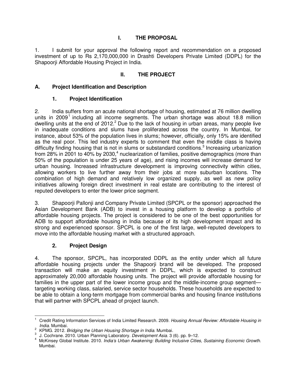## **I. THE PROPOSAL**

1. I submit for your approval the following report and recommendation on a proposed investment of up to Rs 2,170,000,000 in Drashti Developers Private Limited (DDPL) for the Shapoorji Affordable Housing Project in India.

## **II. THE PROJECT**

## **A. Project Identification and Description**

### **1. Project Identification**

2. India suffers from an acute national shortage of housing, estimated at 76 million dwelling units in 2009<sup>1</sup> including all income segments. The urban shortage was about 18.8 million dwelling units at the end of 2012.<sup>2</sup> Due to the lack of housing in urban areas, many people live in inadequate conditions and slums have proliferated across the country. In Mumbai, for instance, about 53% of the population lives in slums; however, officially, only 15% are identified as the real poor. This led industry experts to comment that even the middle class is having difficulty finding housing that is not in slums or substandard conditions.<sup>3</sup> Increasing urbanization from 28% in 2001 to 40% by 2030,<sup>4</sup> nuclearization of families, positive demographics (more than 50% of the population is under 25 years of age), and rising incomes will increase demand for urban housing. Increased infrastructure development is improving connectivity within cities, allowing workers to live further away from their jobs at more suburban locations. The combination of high demand and relatively low organized supply, as well as new policy initiatives allowing foreign direct investment in real estate are contributing to the interest of reputed developers to enter the lower price segment.

3. Shapoorji Pallonji and Company Private Limited (SPCPL or the sponsor) approached the Asian Development Bank (ADB) to invest in a housing platform to develop a portfolio of affordable housing projects. The project is considered to be one of the best opportunities for ADB to support affordable housing in India because of its high development impact and its strong and experienced sponsor. SPCPL is one of the first large, well-reputed developers to move into the affordable housing market with a structured approach.

## **2. Project Design**

4. The sponsor, SPCPL, has incorporated DDPL as the entity under which all future affordable housing projects under the Shapoorji brand will be developed. The proposed transaction will make an equity investment in DDPL, which is expected to construct approximately 20,000 affordable housing units. The project will provide affordable housing for families in the upper part of the lower income group and the middle-income group segment targeting working class, salaried, service sector households. These households are expected to be able to obtain a long-term mortgage from commercial banks and housing finance institutions that will partner with SPCPL ahead of project launch.

 $\overline{a}$ 1 Credit Rating Information Services of India Limited Research. 2009. *Housing Annual Review: Affordable Housing in India*. Mumbai.

<sup>2</sup> KPMG. 2012. *Bridging the Urban Housing Shortage in India*. Mumbai.

<sup>3</sup> J. Cochrane. 2010. Urban Planning Laboratory. *Development Asia.* 3 (6). pp. 9–12.

<sup>4</sup> McKinsey Global Institute. 2010. *India's Urban Awakening: Building Inclusive Cities, Sustaining Economic Growth*. Mumbai.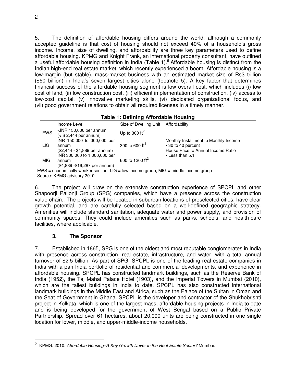5. The definition of affordable housing differs around the world, although a commonly accepted guideline is that cost of housing should not exceed 40% of a household's gross income. Income, size of dwelling, and affordability are three key parameters used to define affordable housing. KPMG and Knight Frank, an international property consultant, have outlined a useful affordable housing definition in India (Table 1).<sup>5</sup> Affordable housing is distinct from the Indian high-end real estate market, which recently experienced a boom. Affordable housing is a low-margin (but stable), mass-market business with an estimated market size of Rs3 trillion (\$50 billion) in India's seven largest cities alone (footnote 5). A key factor that determines financial success of the affordable housing segment is low overall cost, which includes (i) low cost of land, (ii) low construction cost, (iii) efficient implementation of construction, (iv) access to low-cost capital, (v) innovative marketing skills, (vi) dedicated organizational focus, and (vii) good government relations to obtain all required licenses in a timely manner.

| <b>Table 1: Defining Affordable Housing</b> |                                                                         |                                     |                                                                                                   |  |
|---------------------------------------------|-------------------------------------------------------------------------|-------------------------------------|---------------------------------------------------------------------------------------------------|--|
|                                             | Income Level                                                            | Size of Dwelling Unit Affordability |                                                                                                   |  |
| <b>EWS</b>                                  | $\leq$ INR 150,000 per annum<br>$(<$ \$ 2,444 per annum)                | Up to 300 $\text{ft}^2$             |                                                                                                   |  |
| LIG.                                        | INR 150,000 to 300,000 per<br>annum<br>(\$2,444 - \$4,889 per annum)    | 300 to 600 $\text{ft}^2$            | Monthly Installment to Monthly Income<br>• 30 to 40 percent<br>House Price to Annual Income Ratio |  |
| <b>MIG</b>                                  | INR 300,000 to 1,000,000 per<br>annum<br>(\$4,889 - \$16,287 per annum) | 600 to 1200 ft <sup>2</sup>         | $\cdot$ Less than 5.1                                                                             |  |

 $EWS =$  economically weaker section,  $LIG =$  low income group, MIG = middle income group Source: KPMG advisory 2010.

6. The project will draw on the extensive construction experience of SPCPL and other Shapoorji Pallonji Group (SPG) companies, which have a presence across the construction value chain.. The projects will be located in suburban locations of preselected cities, have clear growth potential, and are carefully selected based on a well-defined geographic strategy. Amenities will include standard sanitation, adequate water and power supply, and provision of community spaces. They could include amenities such as parks, schools, and health-care facilities, where applicable.

## **3. The Sponsor**

 $\overline{a}$ 

7. Established in 1865, SPG is one of the oldest and most reputable conglomerates in India with presence across construction, real estate, infrastructure, and water, with a total annual turnover of \$2.5 billion. As part of SPG, SPCPL is one of the leading real estate companies in India with a pan-India portfolio of residential and commercial developments, and experience in affordable housing. SPCPL has constructed landmark buildings, such as the Reserve Bank of India (1952), the Taj Mahal Palace Hotel (1903), and the Imperial Towers in Mumbai (2010), which are the tallest buildings in India to date. SPCPL has also constructed international landmark buildings in the Middle East and Africa, such as the Palace of the Sultan in Oman and the Seat of Government in Ghana. SPCPL is the developer and contractor of the Shukhobrishti project in Kolkata, which is one of the largest mass, affordable housing projects in India to date and is being developed for the government of West Bengal based on a Public Private Partnership. Spread over 61 hectares, about 20,000 units are being constructed in one single location for lower, middle, and upper-middle-income households.

<sup>5</sup> KPMG. 2010. *Affordable Housing–A Key Growth Driver in the Real Estate Sector?* Mumbai.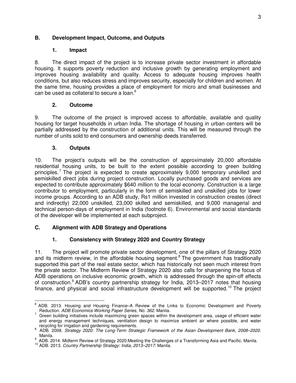## **B. Development Impact, Outcome, and Outputs**

#### **1. Impact**

8. The direct impact of the project is to increase private sector investment in affordable housing. It supports poverty reduction and inclusive growth by generating employment and improves housing availability and quality. Access to adequate housing improves health conditions, but also reduces stress and improves security, especially for children and women. At the same time, housing provides a place of employment for micro and small businesses and can be used as collateral to secure a loan.<sup>6</sup>

### **2. Outcome**

9. The outcome of the project is improved access to affordable, available and quality housing for target households in urban India. The shortage of housing in urban centers will be partially addressed by the construction of additional units. This will be measured through the number of units sold to end consumers and ownership deeds transferred.

### **3. Outputs**

10. The project's outputs will be the construction of approximately 20,000 affordable residential housing units, to be built to the extent possible according to green building principles.<sup>7</sup> The project is expected to create approximately 9,000 temporary unskilled and semiskilled direct jobs during project construction. Locally purchased goods and services are expected to contribute approximately \$640 million to the local economy. Construction is a large contributor to employment, particularly in the form of semiskilled and unskilled jobs for lower income groups. According to an ADB study, Rs1 million invested in construction creates (direct and indirectly) 22,000 unskilled, 23,000 skilled and semiskilled, and 9,000 managerial and technical person-days of employment in India (footnote 6). Environmental and social standards of the developer will be implemented at each subproject.

## **C. Alignment with ADB Strategy and Operations**

## **1. Consistency with Strategy 2020 and Country Strategy**

11. The project will promote private sector development, one of the pillars of Strategy 2020 and its midterm review, in the affordable housing segment.<sup>8</sup> The government has traditionally supported this part of the real estate sector, which has historically not seen much interest from the private sector. The Midterm Review of Strategy 2020 also calls for sharpening the focus of ADB operations on inclusive economic growth, which is addressed through the spin-off effects of construction.<sup>9</sup> ADB's country partnership strategy for India, 2013–2017 notes that housing finance, and physical and social infrastructure development will be supported.<sup>10</sup> The project

 6 ADB. 2013. Housing and Housing Finance–A Review of the Links to Economic Development and Poverty

Reduction. *ADB Economics Working Paper Series, No. 362*. Manila. 7 Green building initiatives include maximizing green spaces within the development area, usage of efficient water and energy management techniques, ventilation design to maximize ambient air where possible, and water recycling for irrigation and gardening requirements.

<sup>8</sup> ADB. 2008. *Strategy 2020: The Long-Term Strategic Framework of the Asian Development Bank, 2008–2020*. Manila.

<sup>9</sup> ADB. 2014. Midterm Review of Strategy 2020:Meeting the Challenges of a Transforming Asia and Pacific. Manila.

<sup>10</sup> ADB. 2013. *Country Partnership Strategy: India, 2013–2017*. Manila.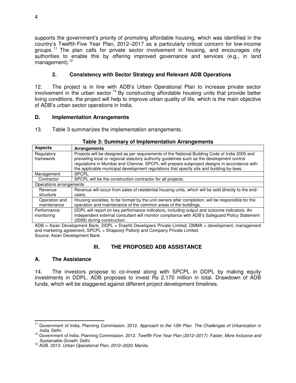supports the government's priority of promoting affordable housing, which was identified in the country's Twelfth Five Year Plan, 2012–2017 as a particularly critical concern for low-income groups. <sup>11</sup> The plan calls for private sector involvement in housing, and encourages city authorities to enable this by offering improved governance and services (e.g., in land management).<sup>12</sup>

## **2. Consistency with Sector Strategy and Relevant ADB Operations**

12. The project is in line with ADB's Urban Operational Plan to increase private sector involvement in the urban sector.<sup>13</sup> By constructing affordable housing units that provide better living conditions, the project will help to improve urban quality of life, which is the main objective of ADB's urban sector operations in India.

## **D. Implementation Arrangements**

13. Table 3 summarizes the implementation arrangements.

| <b>Aspects</b>          | <b>Arrangements</b>                                                                                 |  |  |
|-------------------------|-----------------------------------------------------------------------------------------------------|--|--|
| Regulatory              | Projects will be designed as per requirements of the National Building Code of India 2005 and       |  |  |
| framework               | prevailing local or regional statutory authority guidelines such as the development control         |  |  |
|                         | regulations in Mumbai and Chennai. SPCPL will prepare subproject designs in accordance with         |  |  |
|                         | the applicable municipal development regulations that specify site and building by-laws.            |  |  |
| Management              | <b>SPCPL</b>                                                                                        |  |  |
| Contractor              | SPCPL will be the construction contractor for all projects.                                         |  |  |
| Operations arrangements |                                                                                                     |  |  |
| Revenue                 | Revenue will occur from sales of residential housing units, which will be sold directly to the end- |  |  |
| structure               | users.                                                                                              |  |  |
| Operation and           | Housing societies, to be formed by the unit owners after completion, will be responsible for the    |  |  |
| maintenance             | operation and maintenance of the common areas of the buildings.                                     |  |  |
| Performance             | DDPL will report on key performance indicators, including output and outcome indicators. An         |  |  |
| monitoring              | independent external consultant will monitor compliance with ADB's Safeguard Policy Statement       |  |  |
|                         | (2009) during construction.                                                                         |  |  |

### **Table 3: Summary of Implementation Arrangements**

ADB = Asian Development Bank, DDPL = Drashti Developers Private Limited, DMMA = development, management and marketing agreement, SPCPL = Shapoorji Pallonji and Company Private Limited. Source: Asian Development Bank.

## **III. THE PROPOSED ADB ASSISTANCE**

## **A. The Assistance**

14. The investors propose to co-invest along with SPCPL in DDPL by making equity investments in DDPL. ADB proposes to invest Rs 2,170 million in total. Drawdown of ADB funds, which will be staggered against different project development timelines.

 $\overline{a}$ <sup>11</sup> Government of India, Planning Commission. 2012. Approach to the 12th Plan. The Challenges of Urbanization in *India.* Delhi.

<sup>12</sup> Government of India. Planning Commission. 2012. *Twelfth Five Year Plan (2012–2017): Faster, More Inclusive and Sustainable Growth.* Delhi.

<sup>13</sup> ADB. 2013. *Urban Operational Plan, 2012–2020*. Manila.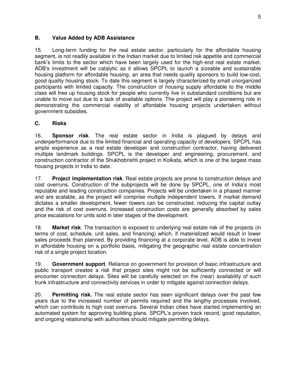#### **B. Value Added by ADB Assistance**

15. Long-term funding for the real estate sector, particularly for the affordable housing segment, is not readily available in the Indian market due to limited risk appetite and commercial bank's limits to the sector which have been largely used for the high-end real estate market. ADB's investment will be catalytic as it allows SPCPL to launch a sizeable and sustainable housing platform for affordable housing, an area that needs quality sponsors to build low-cost, good quality housing stock. To date this segment is largely characterized by small unorganized participants with limited capacity. The construction of housing supply affordable to the middle class will free up housing stock for people who currently live in substandard conditions but are unable to move out due to a lack of available options. The project will play a pioneering role in demonstrating the commercial viability of affordable housing projects undertaken without government subsidies.

### **C. Risks**

16. **Sponsor risk**. The real estate sector in India is plagued by delays and underperformance due to the limited financial and operating capacity of developers. SPCPL has ample experience as a real estate developer and construction contractor, having delivered multiple landmark buildings. SPCPL is the developer and engineering, procurement, and construction contractor of the Shukhobrishti project in Kolkata, which is one of the largest mass housing projects in India to date.

17. **Project implementation risk**. Real estate projects are prone to construction delays and cost overruns. Construction of the subprojects will be done by SPCPL, one of India's most reputable and leading construction companies. Projects will be undertaken in a phased manner and are scalable, as the project will comprise multiple independent towers. If market demand dictates a smaller development, fewer towers can be constructed, reducing the capital outlay and the risk of cost overruns. Increased construction costs are generally absorbed by sales price escalations for units sold in later stages of the development.

18. **Market risk**. The transaction is exposed to underlying real estate risk of the projects (in terms of cost, schedule, unit sales, and financing) which, if materialized would result in lower sales proceeds than planned. By providing financing at a corporate level, ADB is able to invest in affordable housing on a portfolio basis, mitigating the geographic real estate concentration risk of a single project location.

19. **Government support**. Reliance on government for provision of basic infrastructure and public transport creates a risk that project sites might not be sufficiently connected or will encounter connection delays. Sites will be carefully selected on the (near) availability of such trunk infrastructure and connectivity services in order to mitigate against connection delays.

20. **Permitting risk.** The real estate sector has seen significant delays over the past few years due to the increased number of permits required and the lengthy processes involved, which can contribute to high cost overruns. Several Indian cities have started implementing an automated system for approving building plans. SPCPL's proven track record, good reputation, and ongoing relationship with authorities should mitigate permitting delays.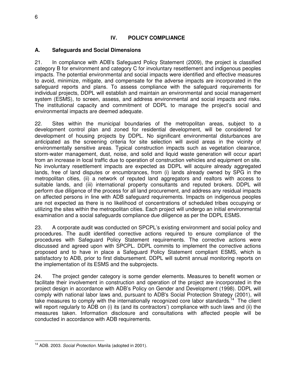## **IV. POLICY COMPLIANCE**

#### **A. Safeguards and Social Dimensions**

21. In compliance with ADB's Safeguard Policy Statement (2009), the project is classified category B for environment and category C for involuntary resettlement and indigenous peoples impacts. The potential environmental and social impacts were identified and effective measures to avoid, minimize, mitigate, and compensate for the adverse impacts are incorporated in the safeguard reports and plans. To assess compliance with the safeguard requirements for individual projects, DDPL will establish and maintain an environmental and social management system (ESMS), to screen, assess, and address environmental and social impacts and risks. The institutional capacity and commitment of DDPL to manage the project's social and environmental impacts are deemed adequate.

22. Sites within the municipal boundaries of the metropolitan areas, subject to a development control plan and zoned for residential development, will be considered for development of housing projects by DDPL. No significant environmental disturbances are anticipated as the screening criteria for site selection will avoid areas in the vicinity of environmentally sensitive areas. Typical construction impacts such as vegetation clearance, storm-water management, dust, noise, and solid and liquid waste generation will occur apart from an increase in local traffic due to operation of construction vehicles and equipment on site. No involuntary resettlement impacts are expected as DDPL will acquire already aggregated lands, free of land disputes or encumbrances, from (i) lands already owned by SPG in the metropolitan cities, (ii) a network of reputed land aggregators and realtors with access to suitable lands, and (iii) international property consultants and reputed brokers. DDPL will perform due diligence of the process for all land procurement, and address any residual impacts on affected persons in line with ADB safeguard requirements. Impacts on indigenous peoples are not expected as there is no likelihood of concentrations of scheduled tribes occupying or utilizing the sites within the metropolitan cities. Each project will undergo an initial environmental examination and a social safeguards compliance due diligence as per the DDPL ESMS.

23. A corporate audit was conducted on SPCPL's existing environment and social policy and procedures. The audit identified corrective actions required to ensure compliance of the procedures with Safeguard Policy Statement requirements. The corrective actions were discussed and agreed upon with SPCPL. DDPL commits to implement the corrective actions proposed and to have in place a Safeguard Policy Statement compliant ESMS, which is satisfactory to ADB, prior to first disbursement. DDPL will submit annual monitoring reports on the implementation of its ESMS and the subprojects.

24. The project gender category is some gender elements. Measures to benefit women or facilitate their involvement in construction and operation of the project are incorporated in the project design in accordance with ADB's Policy on Gender and Development (1998). DDPL will comply with national labor laws and, pursuant to ADB's Social Protection Strategy (2001), will take measures to comply with the internationally recognized core labor standards.<sup>14</sup> The client will report regularly to ADB on (i) its (and its contractors') compliance with such laws and (ii) the measures taken. Information disclosure and consultations with affected people will be conducted in accordance with ADB requirements.

 $\overline{a}$ <sup>14</sup> ADB. 2003. *Social Protection.* Manila (adopted in 2001).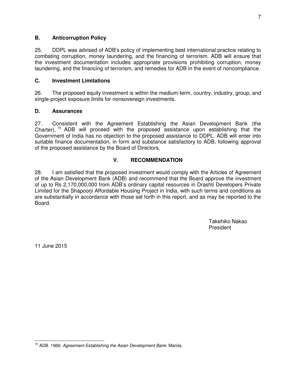### **B. Anticorruption Policy**

25. DDPL was advised of ADB's policy of implementing best international practice relating to combating corruption, money laundering, and the financing of terrorism. ADB will ensure that the investment documentation includes appropriate provisions prohibiting corruption, money laundering, and the financing of terrorism, and remedies for ADB in the event of noncompliance.

### **C. Investment Limitations**

26. The proposed equity investment is within the medium-term, country, industry, group, and single-project exposure limits for nonsovereign investments.

### **D. Assurances**

27. Consistent with the Agreement Establishing the Asian Development Bank (the Charter), <sup>15</sup> ADB will proceed with the proposed assistance upon establishing that the Government of India has no objection to the proposed assistance to DDPL. ADB will enter into suitable finance documentation, in form and substance satisfactory to ADB, following approval of the proposed assistance by the Board of Directors.

#### **V. RECOMMENDATION**

28. I am satisfied that the proposed investment would comply with the Articles of Agreement of the Asian Development Bank (ADB) and recommend that the Board approve the investment of up to Rs 2,170,000,000 from ADB's ordinary capital resources in Drashti Developers Private Limited for the Shapoorji Affordable Housing Project in India, with such terms and conditions as are substantially in accordance with those set forth in this report, and as may be reported to the Board.

> Takehiko Nakao President

11 June 2015

 $\overline{a}$ <sup>15</sup> ADB. 1966. *Agreement Establishing the Asian Development Bank.* Manila.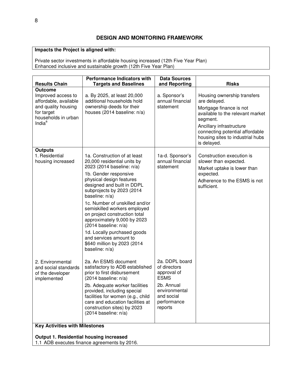# **Impacts the Project is aligned with:**

Private sector investments in affordable housing increased (12th Five Year Plan) Enhanced inclusive and sustainable growth (12th Five Year Plan)

| <b>Results Chain</b>                                                                                                                    | <b>Performance Indicators with</b><br><b>Targets and Baselines</b>                                                                                                                                                                                                                                                                                                                                                                                                                                        | <b>Data Sources</b><br>and Reporting                                                                                                | <b>Risks</b>                                                                                                                                                                                                                             |  |
|-----------------------------------------------------------------------------------------------------------------------------------------|-----------------------------------------------------------------------------------------------------------------------------------------------------------------------------------------------------------------------------------------------------------------------------------------------------------------------------------------------------------------------------------------------------------------------------------------------------------------------------------------------------------|-------------------------------------------------------------------------------------------------------------------------------------|------------------------------------------------------------------------------------------------------------------------------------------------------------------------------------------------------------------------------------------|--|
| <b>Outcome</b><br>Improved access to<br>affordable, available<br>and quality housing<br>for target<br>households in urban<br>Indi $a^a$ | a. By 2025, at least 20,000<br>additional households hold<br>ownership deeds for their<br>houses (2014 baseline: n/a)                                                                                                                                                                                                                                                                                                                                                                                     | a. Sponsor's<br>annual financial<br>statement                                                                                       | Housing ownership transfers<br>are delayed.<br>Mortgage finance is not<br>available to the relevant market<br>segment.<br>Ancillary infrastructure<br>connecting potential affordable<br>housing sites to industrial hubs<br>is delayed. |  |
| <b>Outputs</b><br>1. Residential<br>housing increased                                                                                   | 1a. Construction of at least<br>20,000 residential units by<br>2023 (2014 baseline: n/a)<br>1b. Gender responsive<br>physical design features<br>designed and built in DDPL<br>subprojects by 2023 (2014<br>baseline: n/a)<br>1c. Number of unskilled and/or<br>semiskilled workers employed<br>on project construction total<br>approximately 9,000 by 2023<br>$(2014 \text{ baseline: } n/a)$<br>1d. Locally purchased goods<br>and services amount to<br>\$640 million by 2023 (2014<br>baseline: n/a) | 1a-d. Sponsor's<br>annual financial<br>statement                                                                                    | Construction execution is<br>slower than expected.<br>Market uptake is lower than<br>expected.<br>Adherence to the ESMS is not<br>sufficient.                                                                                            |  |
| 2. Environmental<br>and social standards<br>of the developer<br>implemented                                                             | 2a. An ESMS document<br>satisfactory to ADB established<br>prior to first disbursement<br>(2014 baseline: n/a)<br>2b. Adequate worker facilities<br>provided, including special<br>facilities for women (e.g., child<br>care and education facilities at<br>construction sites) by 2023<br>$(2014 \text{ baseline: } n/a)$                                                                                                                                                                                | 2a. DDPL board<br>of directors<br>approval of<br><b>ESMS</b><br>2b. Annual<br>environmental<br>and social<br>performance<br>reports |                                                                                                                                                                                                                                          |  |
| <b>Key Activities with Milestones</b><br><b>Output 1. Residential housing increased</b><br>1.1 ADB executes finance agreements by 2016. |                                                                                                                                                                                                                                                                                                                                                                                                                                                                                                           |                                                                                                                                     |                                                                                                                                                                                                                                          |  |